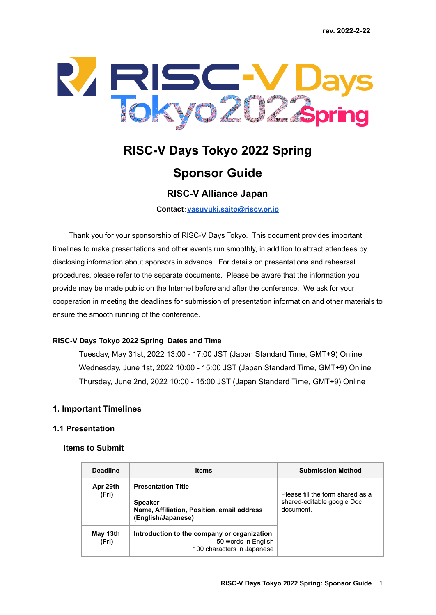

# **RISC-V Days Tokyo 2022 Spring**

# **Sponsor Guide**

## **RISC-V Alliance Japan**

**Contact**:**[yasuyuki.saito@riscv.or.jp](mailto:yasuyuki.saito@riscv.or.jp)**

Thank you for your sponsorship of RISC-V Days Tokyo. This document provides important timelines to make presentations and other events run smoothly, in addition to attract attendees by disclosing information about sponsors in advance. For details on presentations and rehearsal procedures, please refer to the separate documents. Please be aware that the information you provide may be made public on the Internet before and after the conference. We ask for your cooperation in meeting the deadlines for submission of presentation information and other materials to ensure the smooth running of the conference.

#### **RISC-V Days Tokyo 2022 Spring Dates and Time**

Tuesday, May 31st, 2022 13:00 - 17:00 JST (Japan Standard Time, GMT+9) Online Wednesday, June 1st, 2022 10:00 - 15:00 JST (Japan Standard Time, GMT+9) Online Thursday, June 2nd, 2022 10:00 - 15:00 JST (Japan Standard Time, GMT+9) Online

#### **1. Important Timelines**

#### **1.1 Presentation**

#### **Items to Submit**

| <b>Deadline</b>   | <b>Items</b>                                                                                     | <b>Submission Method</b>                                                    |
|-------------------|--------------------------------------------------------------------------------------------------|-----------------------------------------------------------------------------|
| Apr 29th          | <b>Presentation Title</b>                                                                        | Please fill the form shared as a<br>shared-editable google Doc<br>document. |
| (Fri)             | <b>Speaker</b><br>Name, Affiliation, Position, email address<br>(English/Japanese)               |                                                                             |
| May 13th<br>(Fri) | Introduction to the company or organization<br>50 words in English<br>100 characters in Japanese |                                                                             |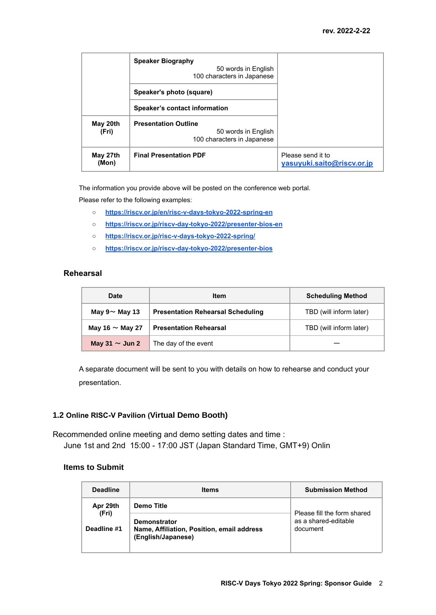|                   | <b>Speaker Biography</b><br>50 words in English<br>100 characters in Japanese    |                                                 |
|-------------------|----------------------------------------------------------------------------------|-------------------------------------------------|
|                   | Speaker's photo (square)                                                         |                                                 |
|                   | Speaker's contact information                                                    |                                                 |
| May 20th<br>(Fri) | <b>Presentation Outline</b><br>50 words in English<br>100 characters in Japanese |                                                 |
| May 27th<br>(Mon) | <b>Final Presentation PDF</b>                                                    | Please send it to<br>yasuyuki.saito@riscv.or.jp |

The information you provide above will be posted on the conference web portal.

Please refer to the following examples:

- **○ [https://riscv.or.jp/en/risc-v-days-tokyo-2022-spring-en](https://riscv.or.jp/en/risc-v-days-tokyo-2022-spring-en/)**
- **○ [https://riscv.or.jp/riscv-day-tokyo-2022/presenter-bios-en](https://riscv.or.jp/riscv-day-tokyo-2020/presenter-bios)**
- **○ <https://riscv.or.jp/risc-v-days-tokyo-2022-spring/>**
- **○ [https://riscv.or.jp/riscv-day-tokyo-2022/presenter-bios](https://riscv.or.jp/riscv-day-tokyo-2020/presenter-bios)**

#### **Rehearsal**

| <b>Date</b>          | <b>Item</b>                              | <b>Scheduling Method</b> |
|----------------------|------------------------------------------|--------------------------|
| May $9 \sim$ May 13  | <b>Presentation Rehearsal Scheduling</b> | TBD (will inform later)  |
| May 16 $\sim$ May 27 | <b>Presentation Rehearsal</b>            | TBD (will inform later)  |
| May $31 \sim$ Jun 2  | The day of the event                     |                          |

A separate document will be sent to you with details on how to rehearse and conduct your presentation.

#### **1.2 Online RISC-V Pavilion (Virtual Demo Booth)**

Recommended online meeting and demo setting dates and time : June 1st and 2nd 15:00 - 17:00 JST (Japan Standard Time, GMT+9) Onlin

#### **Items to Submit**

| <b>Deadline</b>   | <b>Items</b>                                                                            | <b>Submission Method</b>                                        |
|-------------------|-----------------------------------------------------------------------------------------|-----------------------------------------------------------------|
| Apr 29th<br>(Fri) | Demo Title                                                                              | Please fill the form shared<br>as a shared-editable<br>document |
| Deadline #1       | <b>Demonstrator</b><br>Name, Affiliation, Position, email address<br>(English/Japanese) |                                                                 |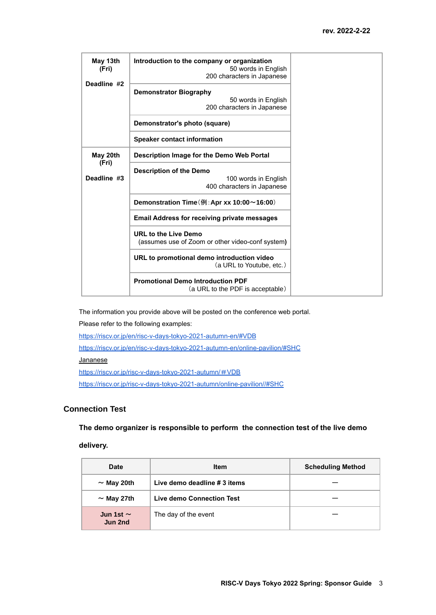| May 13th<br>(Fri)    | Introduction to the company or organization<br>50 words in English<br>200 characters in Japanese |
|----------------------|--------------------------------------------------------------------------------------------------|
| Deadline #2          | <b>Demonstrator Biography</b><br>50 words in English<br>200 characters in Japanese               |
|                      | Demonstrator's photo (square)                                                                    |
|                      | <b>Speaker contact information</b>                                                               |
| May 20th             | Description Image for the Demo Web Portal                                                        |
| (Fri)<br>Deadline #3 | <b>Description of the Demo</b><br>100 words in English<br>400 characters in Japanese             |
|                      | Demonstration Time ( $\overline{m}$ : Apr xx 10:00 ~ 16:00)                                      |
|                      | <b>Email Address for receiving private messages</b>                                              |
|                      | <b>URL to the Live Demo</b><br>(assumes use of Zoom or other video-conf system)                  |
|                      | URL to promotional demo introduction video<br>(a URL to Youtube, etc.)                           |
|                      | <b>Promotional Demo Introduction PDF</b><br>(a URL to the PDF is acceptable)                     |

The information you provide above will be posted on the conference web portal.

Please refer to the following examples:

<https://riscv.or.jp/en/risc-v-days-tokyo-2021-autumn-en/#VDB>

<https://riscv.or.jp/en/risc-v-days-tokyo-2021-autumn-en/online-pavilion/#SHC>

#### **Jananese**

[https://riscv.or.jp/risc-v-days-tokyo-2021-autumn/](https://riscv.or.jp/risc-v-days-tokyo-2021-autumn/%EF%BC%83VDB)#VDB

<https://riscv.or.jp/risc-v-days-tokyo-2021-autumn/online-pavilion//#SHC>

#### **Connection Test**

**The demo organizer is responsible to perform the connection test of the live demo**

#### **delivery.**

| <b>Date</b>               | <b>Item</b>                      | <b>Scheduling Method</b> |
|---------------------------|----------------------------------|--------------------------|
| $\sim$ May 20th           | Live demo deadline # 3 items     |                          |
| $\sim$ May 27th           | <b>Live demo Connection Test</b> |                          |
| Jun 1st $\sim$<br>Jun 2nd | The day of the event             |                          |